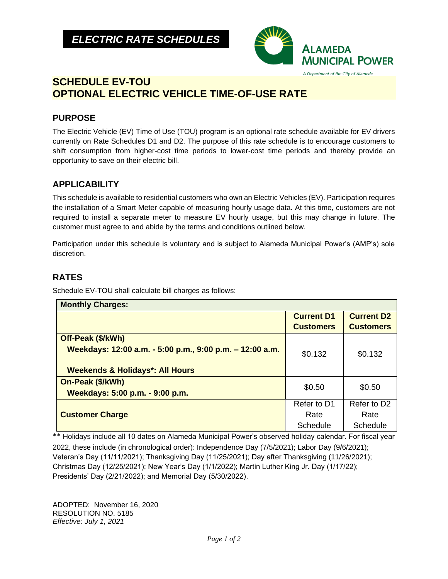

# **SCHEDULE EV-TOU OPTIONAL ELECTRIC VEHICLE TIME-OF-USE RATE**

## **PURPOSE**

The Electric Vehicle (EV) Time of Use (TOU) program is an optional rate schedule available for EV drivers currently on Rate Schedules D1 and D2. The purpose of this rate schedule is to encourage customers to shift consumption from higher-cost time periods to lower-cost time periods and thereby provide an opportunity to save on their electric bill.

## **APPLICABILITY**

This schedule is available to residential customers who own an Electric Vehicles (EV). Participation requires the installation of a Smart Meter capable of measuring hourly usage data. At this time, customers are not required to install a separate meter to measure EV hourly usage, but this may change in future. The customer must agree to and abide by the terms and conditions outlined below.

Participation under this schedule is voluntary and is subject to Alameda Municipal Power's (AMP's) sole discretion.

### **RATES**

Schedule EV-TOU shall calculate bill charges as follows:

| <b>Monthly Charges:</b>                                  |                   |                   |
|----------------------------------------------------------|-------------------|-------------------|
|                                                          | <b>Current D1</b> | <b>Current D2</b> |
|                                                          | <b>Customers</b>  | <b>Customers</b>  |
| Off-Peak (\$/kWh)                                        |                   |                   |
| Weekdays: 12:00 a.m. - 5:00 p.m., 9:00 p.m. - 12:00 a.m. | \$0.132           | \$0.132           |
|                                                          |                   |                   |
| <b>Weekends &amp; Holidays*: All Hours</b>               |                   |                   |
| On-Peak (\$/kWh)                                         | \$0.50            | \$0.50            |
| Weekdays: 5:00 p.m. - 9:00 p.m.                          |                   |                   |
|                                                          | Refer to D1       | Refer to D2       |
| <b>Customer Charge</b>                                   | Rate              | Rate              |
|                                                          | Schedule          | Schedule          |

\*\* Holidays include all 10 dates on Alameda Municipal Power's observed holiday calendar. For fiscal year 2022, these include (in chronological order): Independence Day (7/5/2021); Labor Day (9/6/2021); Veteran's Day (11/11/2021); Thanksgiving Day (11/25/2021); Day after Thanksgiving (11/26/2021); Christmas Day (12/25/2021); New Year's Day (1/1/2022); Martin Luther King Jr. Day (1/17/22); Presidents' Day (2/21/2022); and Memorial Day (5/30/2022).

ADOPTED: November 16, 2020 RESOLUTION NO. 5185 *Effective: July 1, 2021*